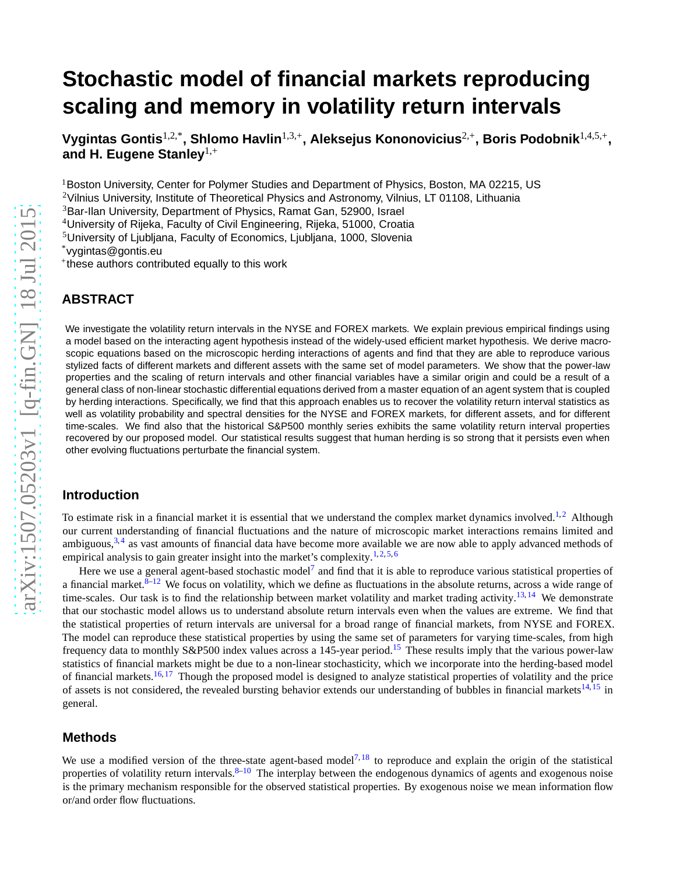# **Stochastic model of financial markets reproducing scaling and memory in volatility return intervals**

**Vygintas Gontis**1,2,\***, Shlomo Havlin**1,3,+**, Aleksejus Kononovicius**2,+**, Boris Podobnik**1,4,5,+ **, and H. Eugene Stanley**1,+

<sup>1</sup> Boston University, Center for Polymer Studies and Department of Physics, Boston, MA 02215, US

<sup>2</sup>Vilnius University, Institute of Theoretical Physics and Astronomy, Vilnius, LT 01108, Lithuania

<sup>3</sup>Bar-Ilan University, Department of Physics, Ramat Gan, 52900, Israel

<sup>4</sup>University of Rijeka, Faculty of Civil Engineering, Rijeka, 51000, Croatia

<sup>5</sup>University of Ljubljana, Faculty of Economics, Ljubljana, 1000, Slovenia

\*vygintas@gontis.eu

+ these authors contributed equally to this work

# **ABSTRACT**

We investigate the volatility return intervals in the NYSE and FOREX markets. We explain previous empirical findings using a model based on the interacting agent hypothesis instead of the widely-used efficient market hypothesis. We derive macroscopic equations based on the microscopic herding interactions of agents and find that they are able to reproduce various stylized facts of different markets and different assets with the same set of model parameters. We show that the power-law properties and the scaling of return intervals and other financial variables have a similar origin and could be a result of a general class of non-linear stochastic differential equations derived from a master equation of an agent system that is coupled by herding interactions. Specifically, we find that this approach enables us to recover the volatility return interval statistics as well as volatility probability and spectral densities for the NYSE and FOREX markets, for different assets, and for different time-scales. We find also that the historical S&P500 monthly series exhibits the same volatility return interval properties recovered by our proposed model. Our statistical results suggest that human herding is so strong that it persists even when other evolving fluctuations perturbate the financial system.

# **Introduction**

To estimate risk in a financial market it is essential that we understand the complex market dynamics involved.<sup>[1,](#page-8-0)[2](#page-8-1)</sup> Although our current understanding of financial fluctuations and the nature of microscopic market interactions remains limited and ambiguous,<sup>[3,](#page-8-2)[4](#page-8-3)</sup> as vast amounts of financial data have become more available we are now able to apply advanced methods of empirical analysis to gain greater insight into the market's complexity.<sup>[1,](#page-8-0)[2,](#page-8-1)[5,](#page-8-4)[6](#page-8-5)</sup>

Here we use a general agent-based stochastic model<sup>[7](#page-8-6)</sup> and find that it is able to reproduce various statistical properties of a financial market. $8-12$  $8-12$  We focus on volatility, which we define as fluctuations in the absolute returns, across a wide range of time-scales. Our task is to find the relationship between market volatility and market trading activity.<sup>[13,](#page-8-9)[14](#page-8-10)</sup> We demonstrate that our stochastic model allows us to understand absolute return intervals even when the values are extreme. We find that the statistical properties of return intervals are universal for a broad range of financial markets, from NYSE and FOREX. The model can reproduce these statistical properties by using the same set of parameters for varying time-scales, from high frequency data to monthly S&P500 index values across a 145-year period.<sup>[15](#page-8-11)</sup> These results imply that the various power-law statistics of financial markets might be due to a non-linear stochasticity, which we incorporate into the herding-based model of financial markets.<sup>[16,](#page-8-12)[17](#page-8-13)</sup> Though the proposed model is designed to analyze statistical properties of volatility and the price of assets is not considered, the revealed bursting behavior extends our understanding of bubbles in financial markets<sup>[14,](#page-8-10)[15](#page-8-11)</sup> in general.

### **Methods**

We use a modified version of the three-state agent-based model<sup>[7,](#page-8-6)[18](#page-8-14)</sup> to reproduce and explain the origin of the statistical properties of volatility return intervals.  $8-10$  $8-10$  The interplay between the endogenous dynamics of agents and exogenous noise is the primary mechanism responsible for the observed statistical properties. By exogenous noise we mean information flow or/and order flow fluctuations.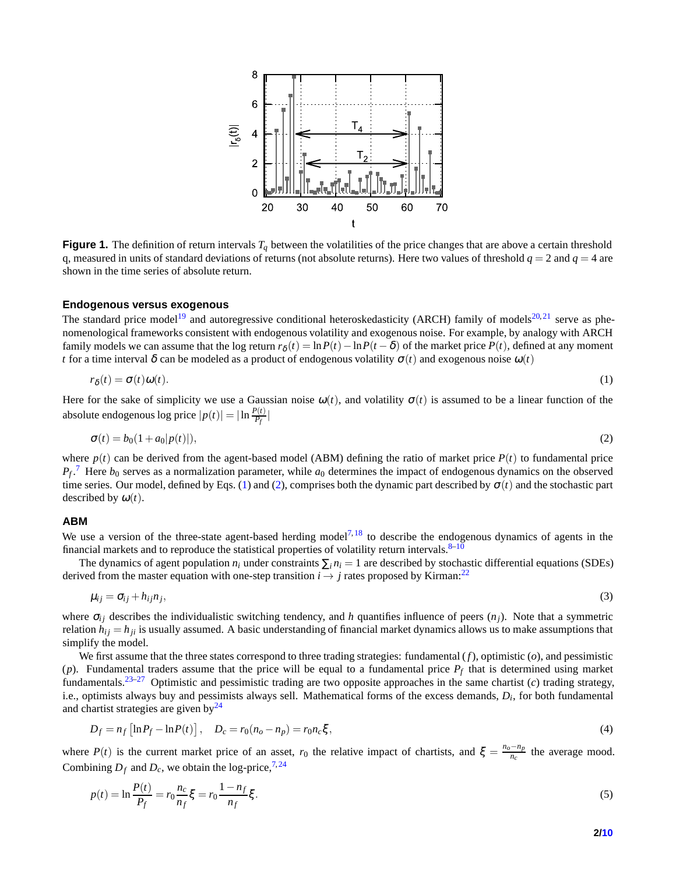<span id="page-1-3"></span><span id="page-1-0"></span>

**Figure 1.** The definition of return intervals  $T_q$  between the volatilities of the price changes that are above a certain threshold q, measured in units of standard deviations of returns (not absolute returns). Here two values of threshold  $q = 2$  and  $q = 4$  are shown in the time series of absolute return.

#### **Endogenous versus exogenous**

The standard price model<sup>[19](#page-8-16)</sup> and autoregressive conditional heteroskedasticity (ARCH) family of models<sup>[20,](#page-8-17)[21](#page-9-0)</sup> serve as phenomenological frameworks consistent with endogenous volatility and exogenous noise. For example, by analogy with ARCH family models we can assume that the log return  $r_\delta(t) = \ln P(t) - \ln P(t - \delta)$  of the market price  $P(t)$ , defined at any moment *t* for a time interval  $\delta$  can be modeled as a product of endogenous volatility  $\sigma(t)$  and exogenous noise  $\omega(t)$ 

$$
r_{\delta}(t) = \sigma(t)\omega(t). \tag{1}
$$

Here for the sake of simplicity we use a Gaussian noise  $\omega(t)$ , and volatility  $\sigma(t)$  is assumed to be a linear function of the absolute endogenous log price  $|p(t)| = |\ln \frac{P(t)}{P_f}|$ 

<span id="page-1-1"></span>
$$
\sigma(t) = b_0(1 + a_0|p(t)|),
$$
\n(2)

where  $p(t)$  can be derived from the agent-based model (ABM) defining the ratio of market price  $P(t)$  to fundamental price  $P_f$ .<sup>[7](#page-8-6)</sup> Here  $b_0$  serves as a normalization parameter, while  $a_0$  determines the impact of endogenous dynamics on the observed time series. Our model, defined by Eqs. [\(1\)](#page-1-0) and [\(2\)](#page-1-1), comprises both the dynamic part described by  $\sigma(t)$  and the stochastic part described by  $\omega(t)$ .

### **ABM**

We use a version of the three-state agent-based herding model<sup>[7,](#page-8-6)[18](#page-8-14)</sup> to describe the endogenous dynamics of agents in the financial markets and to reproduce the statistical properties of volatility return intervals.  $8-10$  $8-10$ 

The dynamics of agent population  $n_i$  under constraints  $\sum_i n_i = 1$  are described by stochastic differential equations (SDEs) derived from the master equation with one-step transition  $i \rightarrow j$  rates proposed by Kirman:<sup>[22](#page-9-1)</sup>

$$
\mu_{ij} = \sigma_{ij} + h_{ij}n_j, \tag{3}
$$

where  $\sigma_{ij}$  describes the individualistic switching tendency, and *h* quantifies influence of peers  $(n_j)$ . Note that a symmetric relation  $h_{ij} = h_{ji}$  is usually assumed. A basic understanding of financial market dynamics allows us to make assumptions that simplify the model.

We first assume that the three states correspond to three trading strategies: fundamental (*f*), optimistic (*o*), and pessimistic  $(p)$ . Fundamental traders assume that the price will be equal to a fundamental price  $P_f$  that is determined using market fundamentals.[23](#page-9-2)[–27](#page-9-3) Optimistic and pessimistic trading are two opposite approaches in the same chartist (*c*) trading strategy, i.e., optimists always buy and pessimists always sell. Mathematical forms of the excess demands, *D<sup>i</sup>* , for both fundamental and chartist strategies are given by $^{24}$  $^{24}$  $^{24}$ 

$$
D_f = n_f \left[ \ln P_f - \ln P(t) \right], \quad D_c = r_0(n_o - n_p) = r_0 n_c \xi,
$$
\n(4)

where  $P(t)$  is the current market price of an asset,  $r_0$  the relative impact of chartists, and  $\xi = \frac{n_o - n_p}{n_o}$  $\frac{-np}{n_c}$  the average mood. Combining  $D_f$  and  $D_c$ , we obtain the log-price,<sup>[7,](#page-8-6)[24](#page-9-4)</sup>

<span id="page-1-2"></span>
$$
p(t) = \ln \frac{P(t)}{P_f} = r_0 \frac{n_c}{n_f} \xi = r_0 \frac{1 - n_f}{n_f} \xi.
$$
\n(5)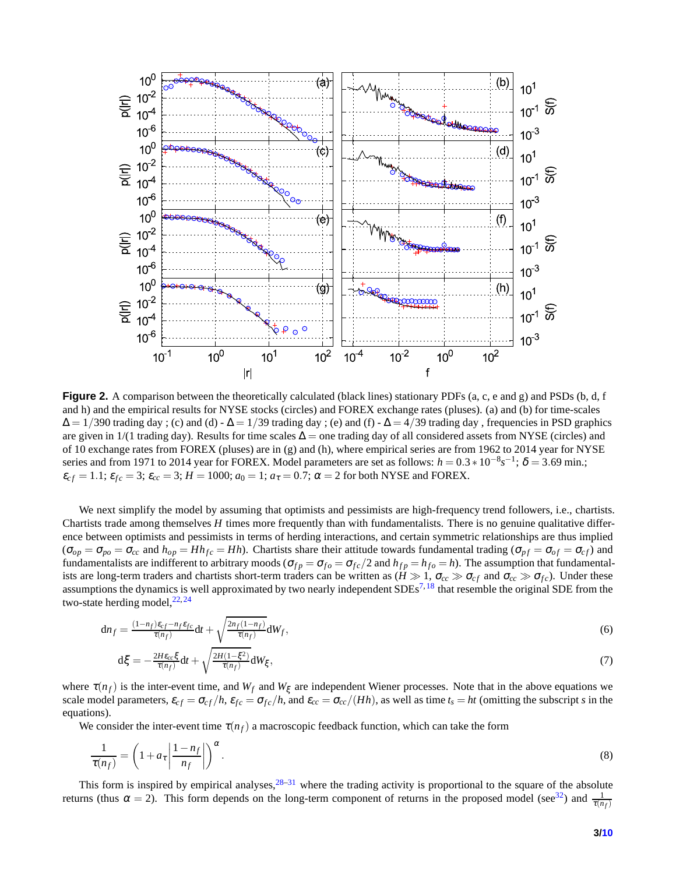<span id="page-2-2"></span>

**Figure 2.** A comparison between the theoretically calculated (black lines) stationary PDFs (a, c, e and g) and PSDs (b, d, f and h) and the empirical results for NYSE stocks (circles) and FOREX exchange rates (pluses). (a) and (b) for time-scales  $\Delta = 1/390$  trading day; (c) and (d) -  $\Delta = 1/39$  trading day; (e) and (f) -  $\Delta = 4/39$  trading day, frequencies in PSD graphics are given in 1/(1 trading day). Results for time scales  $\Delta$  = one trading day of all considered assets from NYSE (circles) and of 10 exchange rates from FOREX (pluses) are in (g) and (h), where empirical series are from 1962 to 2014 year for NYSE series and from 1971 to 2014 year for FOREX. Model parameters are set as follows:  $h = 0.3 * 10^{-8}s^{-1}$ ;  $\delta = 3.69$  min.;  $\varepsilon_{cf} = 1.1$ ;  $\varepsilon_{fc} = 3$ ;  $\varepsilon_{cc} = 3$ ;  $H = 1000$ ;  $a_0 = 1$ ;  $a_{\tau} = 0.7$ ;  $\alpha = 2$  for both NYSE and FOREX.

We next simplify the model by assuming that optimists and pessimists are high-frequency trend followers, i.e., chartists. Chartists trade among themselves *H* times more frequently than with fundamentalists. There is no genuine qualitative difference between optimists and pessimists in terms of herding interactions, and certain symmetric relationships are thus implied  $(\sigma_{op} = \sigma_{po} = \sigma_{cc}$  and  $h_{op} = Hh_{fc} = Hh$ ). Chartists share their attitude towards fundamental trading ( $\sigma_{pf} = \sigma_{cf} = \sigma_{cf}$ ) and fundamentalists are indifferent to arbitrary moods ( $\sigma_{fp} = \sigma_{fc}/2$  and  $h_{fp} = h_{fo} = h$ ). The assumption that fundamentalists are long-term traders and chartists short-term traders can be written as  $(H \gg 1, \sigma_{cc} \gg \sigma_{cf}$  and  $\sigma_{cc} \gg \sigma_{fc}$ ). Under these assumptions the dynamics is well approximated by two nearly independent  $SDE^{7,18}$  $SDE^{7,18}$  $SDE^{7,18}$  $SDE^{7,18}$  that resemble the original SDE from the two-state herding model, $22,24$  $22,24$ 

<span id="page-2-0"></span>
$$
dn_f = \frac{(1 - n_f)\varepsilon_{cf} - n_f \varepsilon_{fc}}{\tau(n_f)} dt + \sqrt{\frac{2n_f(1 - n_f)}{\tau(n_f)}} dW_f,
$$
\n(6)

<span id="page-2-1"></span>
$$
d\xi = -\frac{2H\varepsilon_{cc}\xi}{\tau(n_f)}dt + \sqrt{\frac{2H(1-\xi^2)}{\tau(n_f)}}dW_{\xi},\tag{7}
$$

where  $\tau(n_f)$  is the inter-event time, and  $W_f$  and  $W_{\xi}$  are independent Wiener processes. Note that in the above equations we scale model parameters,  $\varepsilon_{cf} = \sigma_{cf}/h$ ,  $\varepsilon_{fc} = \sigma_{fc}/h$ , and  $\varepsilon_{cc} = \sigma_{cc}/(Hh)$ , as well as time  $t_s = ht$  (omitting the subscript *s* in the equations).

We consider the inter-event time  $\tau(n_f)$  a macroscopic feedback function, which can take the form

$$
\frac{1}{\tau(n_f)} = \left(1 + a_\tau \left|\frac{1 - n_f}{n_f}\right|\right)^\alpha.
$$
\n(8)

This form is inspired by empirical analyses,  $28-31$  $28-31$  where the trading activity is proportional to the square of the absolute returns (thus α = 2). This form depends on the long-term component of returns in the proposed model (see<sup>[32](#page-9-8)</sup>) and  $\frac{1}{\tau(n_f)}$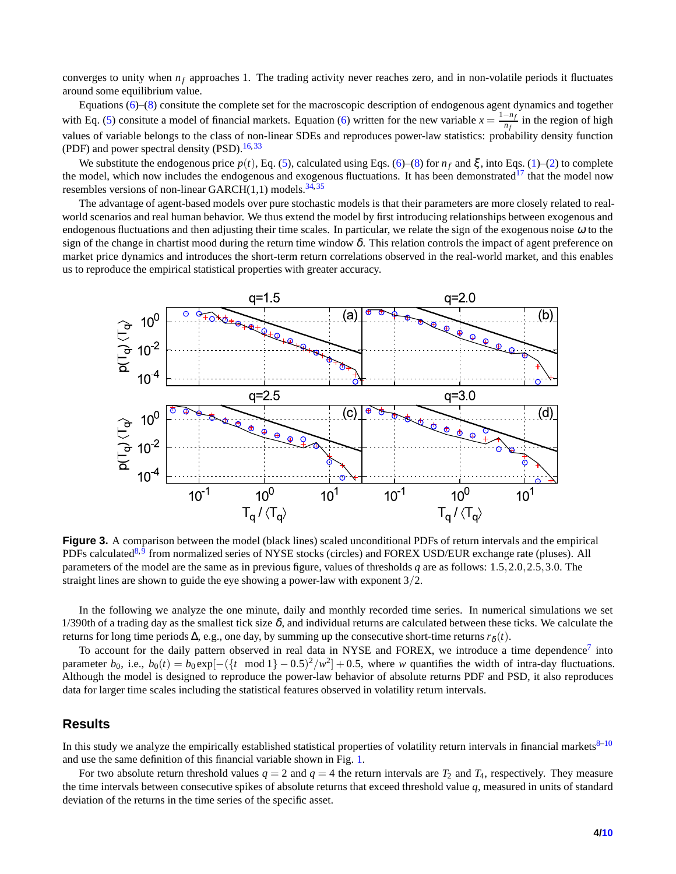converges to unity when  $n_f$  approaches 1. The trading activity never reaches zero, and in non-volatile periods it fluctuates around some equilibrium value.

Equations [\(6\)](#page-2-0)–[\(8\)](#page-2-1) consitute the complete set for the macroscopic description of endogenous agent dynamics and together with Eq. [\(5\)](#page-1-2) consitute a model of financial markets. Equation [\(6\)](#page-2-0) written for the new variable  $x = \frac{1-n_f}{n_c}$  $\frac{n_f}{n_f}$  in the region of high values of variable belongs to the class of non-linear SDEs and reproduces power-law statistics: probability density function (PDF) and power spectral density (PSD).  $16,33$  $16,33$ 

We substitute the endogenous price  $p(t)$ , Eq. [\(5\)](#page-1-2), calculated using Eqs. [\(6\)](#page-2-0)–[\(8\)](#page-2-1) for  $n_f$  and  $\xi$ , into Eqs. [\(1\)](#page-1-0)–[\(2\)](#page-1-1) to complete the model, which now includes the endogenous and exogenous fluctuations. It has been demonstrated<sup>[17](#page-8-13)</sup> that the model now resembles versions of non-linear GARCH $(1,1)$  models.<sup>[34,](#page-9-10)[35](#page-9-11)</sup>

The advantage of agent-based models over pure stochastic models is that their parameters are more closely related to realworld scenarios and real human behavior. We thus extend the model by first introducing relationships between exogenous and endogenous fluctuations and then adjusting their time scales. In particular, we relate the sign of the exogenous noise  $\omega$  to the sign of the change in chartist mood during the return time window  $\delta$ . This relation controls the impact of agent preference on market price dynamics and introduces the short-term return correlations observed in the real-world market, and this enables us to reproduce the empirical statistical properties with greater accuracy.

<span id="page-3-0"></span>

**Figure 3.** A comparison between the model (black lines) scaled unconditional PDFs of return intervals and the empirical PDFs calculated<sup>[8,](#page-8-7)[9](#page-8-18)</sup> from normalized series of NYSE stocks (circles) and FOREX USD/EUR exchange rate (pluses). All parameters of the model are the same as in previous figure, values of thresholds *q* are as follows: 1.5,2.0,2.5,3.0. The straight lines are shown to guide the eye showing a power-law with exponent  $3/2$ .

In the following we analyze the one minute, daily and monthly recorded time series. In numerical simulations we set 1/390th of a trading day as the smallest tick size  $\delta$ , and individual returns are calculated between these ticks. We calculate the returns for long time periods  $\Delta$ , e.g., one day, by summing up the consecutive short-time returns  $r_{\delta}(t)$ .

To account for the daily pattern observed in real data in NYSE and FOREX, we introduce a time dependence<sup>[7](#page-8-6)</sup> into parameter  $b_0$ , i.e.,  $b_0(t) = b_0 \exp[-(\{t \mod 1\} - 0.5)^2/w^2] + 0.5$ , where *w* quantifies the width of intra-day fluctuations. Although the model is designed to reproduce the power-law behavior of absolute returns PDF and PSD, it also reproduces data for larger time scales including the statistical features observed in volatility return intervals.

### **Results**

In this study we analyze the empirically established statistical properties of volatility return intervals in financial markets $8-10$  $8-10$ and use the same definition of this financial variable shown in Fig. [1.](#page-1-3)

For two absolute return threshold values  $q = 2$  and  $q = 4$  the return intervals are  $T_2$  and  $T_4$ , respectively. They measure the time intervals between consecutive spikes of absolute returns that exceed threshold value *q*, measured in units of standard deviation of the returns in the time series of the specific asset.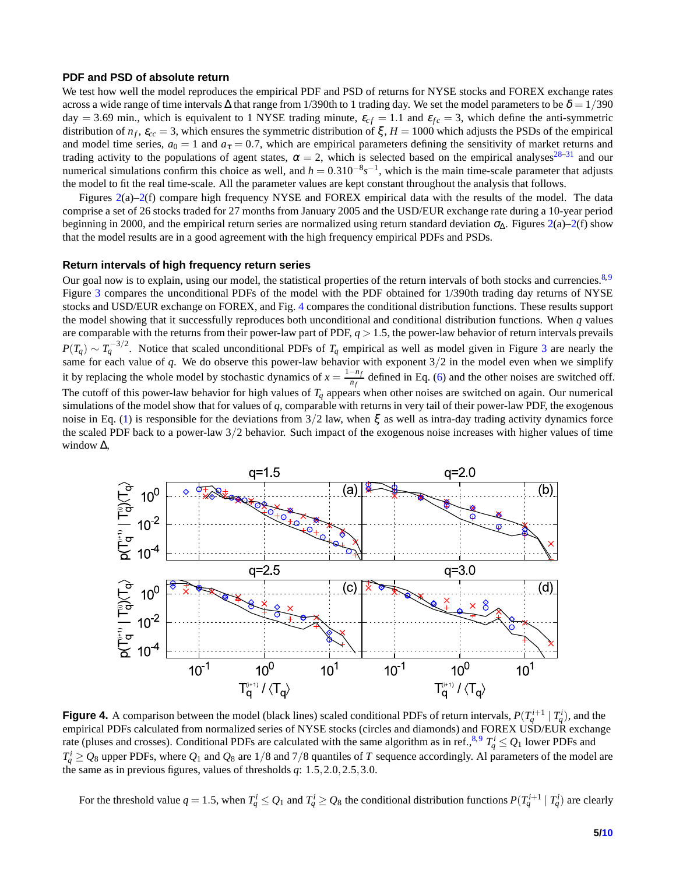#### **PDF and PSD of absolute return**

We test how well the model reproduces the empirical PDF and PSD of returns for NYSE stocks and FOREX exchange rates across a wide range of time intervals  $\Delta$  that range from 1/390th to 1 trading day. We set the model parameters to be  $\delta = 1/390$ day = 3.69 min., which is equivalent to 1 NYSE trading minute,  $\varepsilon_{cf} = 1.1$  and  $\varepsilon_{fc} = 3$ , which define the anti-symmetric distribution of  $n_f$ ,  $\varepsilon_{cc}$  = 3, which ensures the symmetric distribution of  $\xi$ ,  $H$  = 1000 which adjusts the PSDs of the empirical and model time series,  $a_0 = 1$  and  $a_\tau = 0.7$ , which are empirical parameters defining the sensitivity of market returns and trading activity to the populations of agent states,  $\alpha = 2$ , which is selected based on the empirical analyses<sup>[28–](#page-9-6)[31](#page-9-7)</sup> and our numerical simulations confirm this choice as well, and  $h = 0.310^{-8} s^{-1}$ , which is the main time-scale parameter that adjusts the model to fit the real time-scale. All the parameter values are kept constant throughout the analysis that follows.

Figures [2\(](#page-2-2)a)[–2\(](#page-2-2)f) compare high frequency NYSE and FOREX empirical data with the results of the model. The data comprise a set of 26 stocks traded for 27 months from January 2005 and the USD/EUR exchange rate during a 10-year period beginning in 2000, and the empirical return series are normalized using return standard deviation  $\sigma_\Delta$ . Figures [2\(](#page-2-2)a)[–2\(](#page-2-2)f) show that the model results are in a good agreement with the high frequency empirical PDFs and PSDs.

#### **Return intervals of high frequency return series**

Our goal now is to explain, using our model, the statistical properties of the return intervals of both stocks and currencies.<sup>[8,](#page-8-7)[9](#page-8-18)</sup> Figure [3](#page-3-0) compares the unconditional PDFs of the model with the PDF obtained for 1/390th trading day returns of NYSE stocks and USD/EUR exchange on FOREX, and Fig. [4](#page-4-0) compares the conditional distribution functions. These results support the model showing that it successfully reproduces both unconditional and conditional distribution functions. When *q* values are comparable with the returns from their power-law part of PDF, *q* > 1.5, the power-law behavior of return intervals prevails  $P(T_q) \sim T_q^{-3/2}$  $P(T_q) \sim T_q^{-3/2}$  $P(T_q) \sim T_q^{-3/2}$ . Notice that scaled unconditional PDFs of  $T_q$  empirical as well as model given in Figure 3 are nearly the same for each value of *q*. We do observe this power-law behavior with exponent  $3/2$  in the model even when we simplify it by replacing the whole model by stochastic dynamics of  $x = \frac{1-n_f}{n_c}$  $\frac{n_f}{n_f}$  defined in Eq. [\(6\)](#page-2-0) and the other noises are switched off. The cutoff of this power-law behavior for high values of  $T_q$  appears when other noises are switched on again. Our numerical simulations of the model show that for values of *q*, comparable with returns in very tail of their power-law PDF, the exogenous noise in Eq. [\(1\)](#page-1-0) is responsible for the deviations from  $3/2$  law, when  $\xi$  as well as intra-day trading activity dynamics force the scaled PDF back to a power-law 3/2 behavior. Such impact of the exogenous noise increases with higher values of time window ∆,

<span id="page-4-0"></span>

**Figure 4.** A comparison between the model (black lines) scaled conditional PDFs of return intervals,  $P(T_q^{i+1} | T_q^i)$ , and the empirical PDFs calculated from normalized series of NYSE stocks (circles and diamonds) and FOREX USD/EUR exchange rate (pluses and crosses). Conditional PDFs are calculated with the same algorithm as in ref.,  $^{8,9}T_q^i \leq Q_1$  $^{8,9}T_q^i \leq Q_1$  $^{8,9}T_q^i \leq Q_1$  $^{8,9}T_q^i \leq Q_1$  lower PDFs and  $T_q^i \geq Q_8$  upper PDFs, where  $Q_1$  and  $Q_8$  are 1/8 and 7/8 quantiles of *T* sequence accordingly. Al parameters of the model are the same as in previous figures, values of thresholds *q*: 1.5,2.0,2.5,3.0.

For the threshold value  $q=1.5$ , when  $T_q^i \leq Q_1$  and  $T_q^i \geq Q_8$  the conditional distribution functions  $P(T_q^{i+1} \mid T_q^i)$  are clearly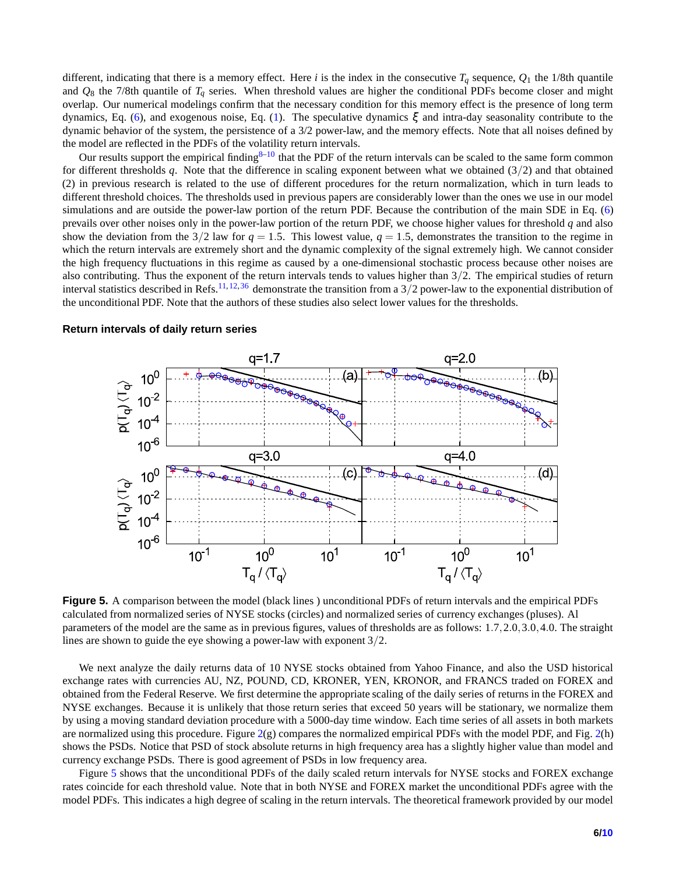different, indicating that there is a memory effect. Here *i* is the index in the consecutive  $T_q$  sequence,  $Q_1$  the 1/8th quantile and  $Q_8$  the 7/8th quantile of  $T_q$  series. When threshold values are higher the conditional PDFs become closer and might overlap. Our numerical modelings confirm that the necessary condition for this memory effect is the presence of long term dynamics, Eq. [\(6\)](#page-2-0), and exogenous noise, Eq. [\(1\)](#page-1-0). The speculative dynamics  $\xi$  and intra-day seasonality contribute to the dynamic behavior of the system, the persistence of a 3/2 power-law, and the memory effects. Note that all noises defined by the model are reflected in the PDFs of the volatility return intervals.

Our results support the empirical finding $8-10$  $8-10$  that the PDF of the return intervals can be scaled to the same form common for different thresholds *q*. Note that the difference in scaling exponent between what we obtained (3/2) and that obtained (2) in previous research is related to the use of different procedures for the return normalization, which in turn leads to different threshold choices. The thresholds used in previous papers are considerably lower than the ones we use in our model simulations and are outside the power-law portion of the return PDF. Because the contribution of the main SDE in Eq. [\(6\)](#page-2-0) prevails over other noises only in the power-law portion of the return PDF, we choose higher values for threshold *q* and also show the deviation from the  $3/2$  law for  $q = 1.5$ . This lowest value,  $q = 1.5$ , demonstrates the transition to the regime in which the return intervals are extremely short and the dynamic complexity of the signal extremely high. We cannot consider the high frequency fluctuations in this regime as caused by a one-dimensional stochastic process because other noises are also contributing. Thus the exponent of the return intervals tends to values higher than  $3/2$ . The empirical studies of return interval statistics described in Refs.<sup>[11,](#page-8-19)[12,](#page-8-8)[36](#page-9-12)</sup> demonstrate the transition from a  $3/2$  power-law to the exponential distribution of the unconditional PDF. Note that the authors of these studies also select lower values for the thresholds.



#### <span id="page-5-0"></span>**Return intervals of daily return series**

**Figure 5.** A comparison between the model (black lines ) unconditional PDFs of return intervals and the empirical PDFs calculated from normalized series of NYSE stocks (circles) and normalized series of currency exchanges (pluses). Al parameters of the model are the same as in previous figures, values of thresholds are as follows: 1.7,2.0,3.0,4.0. The straight lines are shown to guide the eye showing a power-law with exponent 3/2.

We next analyze the daily returns data of 10 NYSE stocks obtained from Yahoo Finance, and also the USD historical exchange rates with currencies AU, NZ, POUND, CD, KRONER, YEN, KRONOR, and FRANCS traded on FOREX and obtained from the Federal Reserve. We first determine the appropriate scaling of the daily series of returns in the FOREX and NYSE exchanges. Because it is unlikely that those return series that exceed 50 years will be stationary, we normalize them by using a moving standard deviation procedure with a 5000-day time window. Each time series of all assets in both markets are normalized using this procedure. Figure  $2(g)$  $2(g)$  compares the normalized empirical PDFs with the model PDF, and Fig.  $2(h)$ shows the PSDs. Notice that PSD of stock absolute returns in high frequency area has a slightly higher value than model and currency exchange PSDs. There is good agreement of PSDs in low frequency area.

Figure [5](#page-5-0) shows that the unconditional PDFs of the daily scaled return intervals for NYSE stocks and FOREX exchange rates coincide for each threshold value. Note that in both NYSE and FOREX market the unconditional PDFs agree with the model PDFs. This indicates a high degree of scaling in the return intervals. The theoretical framework provided by our model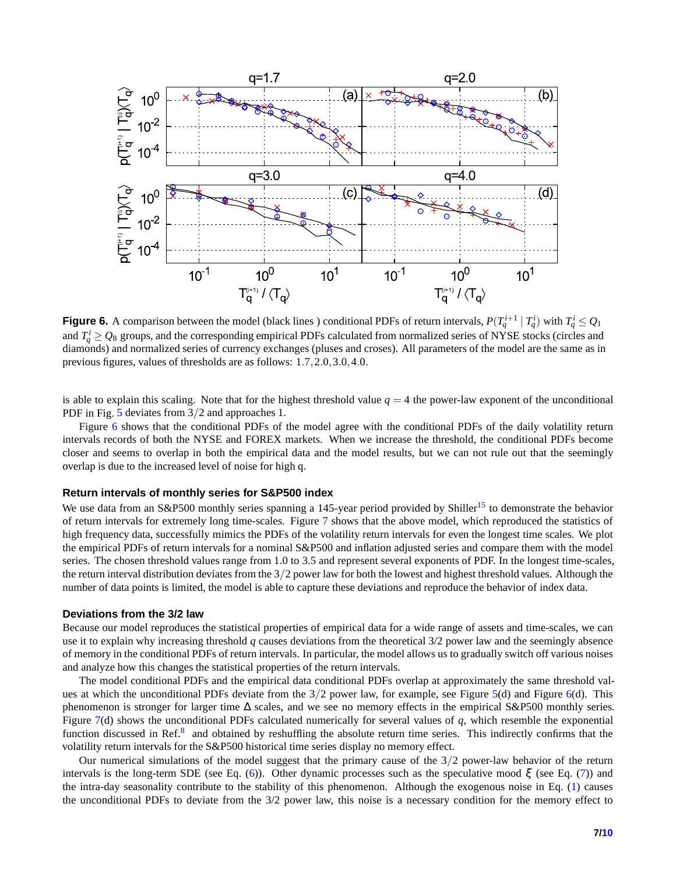<span id="page-6-0"></span>

**Figure 6.** A comparison between the model (black lines) conditional PDFs of return intervals,  $P(T_q^{i+1} | T_q^i)$  with  $T_q^i \leq Q_1$ and  $T_q^i \geq Q_8$  groups, and the corresponding empirical PDFs calculated from normalized series of NYSE stocks (circles and diamonds) and normalized series of currency exchanges (pluses and croses). All parameters of the model are the same as in previous figures, values of thresholds are as follows: 1.7,2.0,3.0,4.0.

is able to explain this scaling. Note that for the highest threshold value  $q = 4$  the power-law exponent of the unconditional PDF in Fig. [5](#page-5-0) deviates from  $3/2$  and approaches 1.

Figure [6](#page-6-0) shows that the conditional PDFs of the model agree with the conditional PDFs of the daily volatility return intervals records of both the NYSE and FOREX markets. When we increase the threshold, the conditional PDFs become closer and seems to overlap in both the empirical data and the model results, but we can not rule out that the seemingly overlap is due to the increased level of noise for high q.

#### **Return intervals of monthly series for S&P500 index**

We use data from an S&P500 monthly series spanning a 145-year period provided by Shiller<sup>[15](#page-8-11)</sup> to demonstrate the behavior of return intervals for extremely long time-scales. Figure [7](#page-7-0) shows that the above model, which reproduced the statistics of high frequency data, successfully mimics the PDFs of the volatility return intervals for even the longest time scales. We plot the empirical PDFs of return intervals for a nominal S&P500 and inflation adjusted series and compare them with the model series. The chosen threshold values range from 1.0 to 3.5 and represent several exponents of PDF. In the longest time-scales, the return interval distribution deviates from the  $3/2$  power law for both the lowest and highest threshold values. Although the number of data points is limited, the model is able to capture these deviations and reproduce the behavior of index data.

#### **Deviations from the 3/2 law**

Because our model reproduces the statistical properties of empirical data for a wide range of assets and time-scales, we can use it to explain why increasing threshold *q* causes deviations from the theoretical 3/2 power law and the seemingly absence of memory in the conditional PDFs of return intervals. In particular, the model allows us to gradually switch off various noises and analyze how this changes the statistical properties of the return intervals.

The model conditional PDFs and the empirical data conditional PDFs overlap at approximately the same threshold values at which the unconditional PDFs deviate from the  $3/2$  power law, for example, see Figure [5\(](#page-5-0)d) and Figure [6\(](#page-6-0)d). This phenomenon is stronger for larger time ∆ scales, and we see no memory effects in the empirical S&P500 monthly series. Figure [7\(](#page-7-0)d) shows the unconditional PDFs calculated numerically for several values of *q*, which resemble the exponential function discussed in Ref.<sup>[8](#page-8-7)</sup> and obtained by reshuffling the absolute return time series. This indirectly confirms that the volatility return intervals for the S&P500 historical time series display no memory effect.

Our numerical simulations of the model suggest that the primary cause of the  $3/2$  power-law behavior of the return intervals is the long-term SDE (see Eq. [\(6\)](#page-2-0)). Other dynamic processes such as the speculative mood ξ (see Eq. [\(7\)](#page-2-0)) and the intra-day seasonality contribute to the stability of this phenomenon. Although the exogenous noise in Eq. [\(1\)](#page-1-0) causes the unconditional PDFs to deviate from the 3/2 power law, this noise is a necessary condition for the memory effect to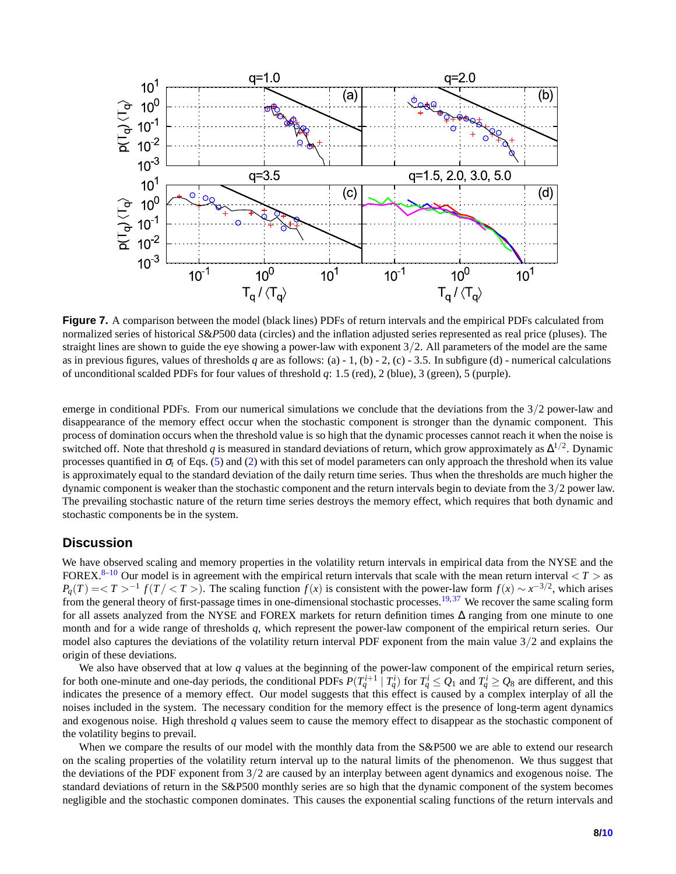<span id="page-7-0"></span>

**Figure 7.** A comparison between the model (black lines) PDFs of return intervals and the empirical PDFs calculated from normalized series of historical *S*&*P*500 data (circles) and the inflation adjusted series represented as real price (pluses). The straight lines are shown to guide the eye showing a power-law with exponent  $3/2$ . All parameters of the model are the same as in previous figures, values of thresholds *q* are as follows: (a)  $-1$ , (b)  $-2$ , (c)  $-3.5$ . In subfigure (d) - numerical calculations of unconditional scalded PDFs for four values of threshold *q*: 1.5 (red), 2 (blue), 3 (green), 5 (purple).

emerge in conditional PDFs. From our numerical simulations we conclude that the deviations from the  $3/2$  power-law and disappearance of the memory effect occur when the stochastic component is stronger than the dynamic component. This process of domination occurs when the threshold value is so high that the dynamic processes cannot reach it when the noise is switched off. Note that threshold *q* is measured in standard deviations of return, which grow approximately as  $\Delta^{1/2}$ . Dynamic processes quantified in  $\sigma_t$  of Eqs. [\(5\)](#page-1-2) and [\(2\)](#page-1-1) with this set of model parameters can only approach the threshold when its value is approximately equal to the standard deviation of the daily return time series. Thus when the thresholds are much higher the dynamic component is weaker than the stochastic component and the return intervals begin to deviate from the 3/2 power law. The prevailing stochastic nature of the return time series destroys the memory effect, which requires that both dynamic and stochastic components be in the system.

# **Discussion**

We have observed scaling and memory properties in the volatility return intervals in empirical data from the NYSE and the FOREX.<sup>[8–](#page-8-7)[10](#page-8-15)</sup> Our model is in agreement with the empirical return intervals that scale with the mean return interval  $\lt T >$  as  $P_q(T) = \langle T \rangle^{-1} f(T / \langle T \rangle)$ . The scaling function  $f(x)$  is consistent with the power-law form  $f(x) \sim x^{-3/2}$ , which arises from the general theory of first-passage times in one-dimensional stochastic processes.<sup>[19,](#page-8-16)[37](#page-9-13)</sup> We recover the same scaling form for all assets analyzed from the NYSE and FOREX markets for return definition times ∆ ranging from one minute to one month and for a wide range of thresholds *q*, which represent the power-law component of the empirical return series. Our model also captures the deviations of the volatility return interval PDF exponent from the main value  $3/2$  and explains the origin of these deviations.

We also have observed that at low *q* values at the beginning of the power-law component of the empirical return series, for both one-minute and one-day periods, the conditional PDFs  $P(T_q^{i+1} | T_q^i)$  for  $T_q^i \leq Q_1$  and  $T_q^i \geq Q_8$  are different, and this indicates the presence of a memory effect. Our model suggests that this effect is caused by a complex interplay of all the noises included in the system. The necessary condition for the memory effect is the presence of long-term agent dynamics and exogenous noise. High threshold *q* values seem to cause the memory effect to disappear as the stochastic component of the volatility begins to prevail.

When we compare the results of our model with the monthly data from the S&P500 we are able to extend our research on the scaling properties of the volatility return interval up to the natural limits of the phenomenon. We thus suggest that the deviations of the PDF exponent from 3/2 are caused by an interplay between agent dynamics and exogenous noise. The standard deviations of return in the S&P500 monthly series are so high that the dynamic component of the system becomes negligible and the stochastic componen dominates. This causes the exponential scaling functions of the return intervals and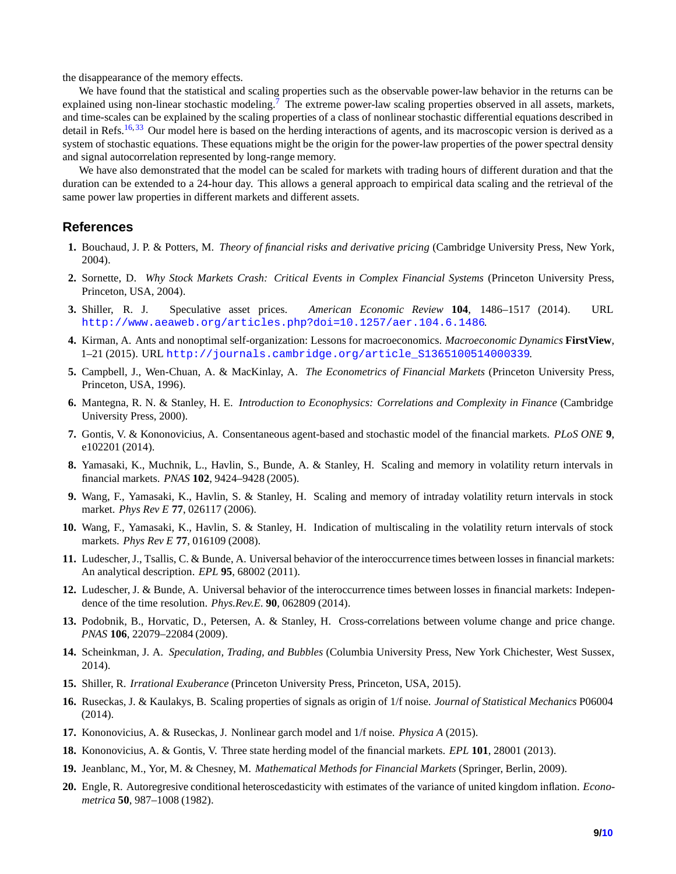the disappearance of the memory effects.

We have found that the statistical and scaling properties such as the observable power-law behavior in the returns can be explained using non-linear stochastic modeling.<sup>[7](#page-8-6)</sup> The extreme power-law scaling properties observed in all assets, markets, and time-scales can be explained by the scaling properties of a class of nonlinear stochastic differential equations described in detail in Refs.<sup>[16,](#page-8-12)[33](#page-9-9)</sup> Our model here is based on the herding interactions of agents, and its macroscopic version is derived as a system of stochastic equations. These equations might be the origin for the power-law properties of the power spectral density and signal autocorrelation represented by long-range memory.

We have also demonstrated that the model can be scaled for markets with trading hours of different duration and that the duration can be extended to a 24-hour day. This allows a general approach to empirical data scaling and the retrieval of the same power law properties in different markets and different assets.

### <span id="page-8-0"></span>**References**

- <span id="page-8-1"></span>**1.** Bouchaud, J. P. & Potters, M. *Theory of financial risks and derivative pricing* (Cambridge University Press, New York, 2004).
- <span id="page-8-2"></span>**2.** Sornette, D. *Why Stock Markets Crash: Critical Events in Complex Financial Systems* (Princeton University Press, Princeton, USA, 2004).
- <span id="page-8-3"></span>**3.** Shiller, R. J. Speculative asset prices. *American Economic Review* **104**, 1486–1517 (2014). URL <http://www.aeaweb.org/articles.php?doi=10.1257/aer.104.6.1486>.
- <span id="page-8-4"></span>**4.** Kirman, A. Ants and nonoptimal self-organization: Lessons for macroeconomics. *Macroeconomic Dynamics* **FirstView**, 1–21 (2015). URL [http://journals.cambridge.org/article\\_S1365100514000339](http://journals.cambridge.org/article_S1365100514000339).
- <span id="page-8-5"></span>**5.** Campbell, J., Wen-Chuan, A. & MacKinlay, A. *The Econometrics of Financial Markets* (Princeton University Press, Princeton, USA, 1996).
- <span id="page-8-6"></span>**6.** Mantegna, R. N. & Stanley, H. E. *Introduction to Econophysics: Correlations and Complexity in Finance* (Cambridge University Press, 2000).
- <span id="page-8-7"></span>**7.** Gontis, V. & Kononovicius, A. Consentaneous agent-based and stochastic model of the financial markets. *PLoS ONE* **9**, e102201 (2014).
- <span id="page-8-18"></span>**8.** Yamasaki, K., Muchnik, L., Havlin, S., Bunde, A. & Stanley, H. Scaling and memory in volatility return intervals in financial markets. *PNAS* **102**, 9424–9428 (2005).
- <span id="page-8-15"></span>**9.** Wang, F., Yamasaki, K., Havlin, S. & Stanley, H. Scaling and memory of intraday volatility return intervals in stock market. *Phys Rev E* **77**, 026117 (2006).
- <span id="page-8-19"></span>**10.** Wang, F., Yamasaki, K., Havlin, S. & Stanley, H. Indication of multiscaling in the volatility return intervals of stock markets. *Phys Rev E* **77**, 016109 (2008).
- <span id="page-8-8"></span>**11.** Ludescher, J., Tsallis, C. & Bunde, A. Universal behavior of the interoccurrence times between losses in financial markets: An analytical description. *EPL* **95**, 68002 (2011).
- <span id="page-8-9"></span>**12.** Ludescher, J. & Bunde, A. Universal behavior of the interoccurrence times between losses in financial markets: Independence of the time resolution. *Phys.Rev.E.* **90**, 062809 (2014).
- <span id="page-8-10"></span>**13.** Podobnik, B., Horvatic, D., Petersen, A. & Stanley, H. Cross-correlations between volume change and price change. *PNAS* **106**, 22079–22084 (2009).
- <span id="page-8-11"></span>**14.** Scheinkman, J. A. *Speculation, Trading, and Bubbles* (Columbia University Press, New York Chichester, West Sussex, 2014).
- <span id="page-8-12"></span>**15.** Shiller, R. *Irrational Exuberance* (Princeton University Press, Princeton, USA, 2015).
- <span id="page-8-13"></span>**16.** Ruseckas, J. & Kaulakys, B. Scaling properties of signals as origin of 1/f noise. *Journal of Statistical Mechanics* P06004 (2014).
- <span id="page-8-14"></span>**17.** Kononovicius, A. & Ruseckas, J. Nonlinear garch model and 1/f noise. *Physica A* (2015).
- <span id="page-8-16"></span>**18.** Kononovicius, A. & Gontis, V. Three state herding model of the financial markets. *EPL* **101**, 28001 (2013).
- <span id="page-8-17"></span>**19.** Jeanblanc, M., Yor, M. & Chesney, M. *Mathematical Methods for Financial Markets* (Springer, Berlin, 2009).
- **20.** Engle, R. Autoregresive conditional heteroscedasticity with estimates of the variance of united kingdom inflation. *Econometrica* **50**, 987–1008 (1982).